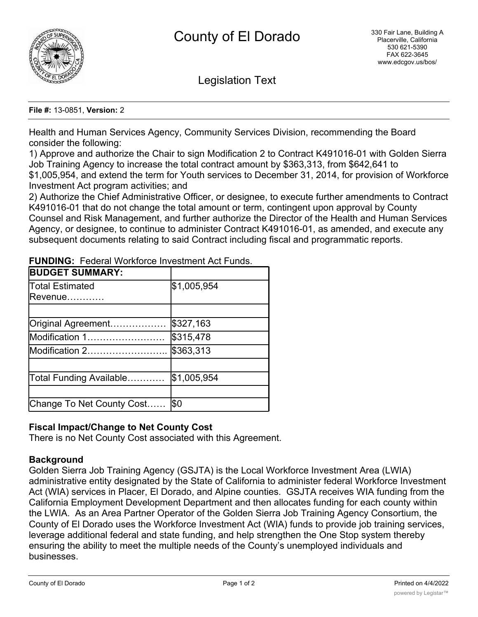

Legislation Text

**File #:** 13-0851, **Version:** 2

Health and Human Services Agency, Community Services Division, recommending the Board consider the following:

1) Approve and authorize the Chair to sign Modification 2 to Contract K491016-01 with Golden Sierra Job Training Agency to increase the total contract amount by \$363,313, from \$642,641 to \$1,005,954, and extend the term for Youth services to December 31, 2014, for provision of Workforce Investment Act program activities; and

2) Authorize the Chief Administrative Officer, or designee, to execute further amendments to Contract K491016-01 that do not change the total amount or term, contingent upon approval by County Counsel and Risk Management, and further authorize the Director of the Health and Human Services Agency, or designee, to continue to administer Contract K491016-01, as amended, and execute any subsequent documents relating to said Contract including fiscal and programmatic reports.

| <b>BUDGET SUMMARY:</b>         |             |
|--------------------------------|-------------|
| Total Estimated<br>Revenue………… | \$1,005,954 |
| Original Agreement             | \$327,163   |
| Modification 1                 | \$315,478   |
| Modification 2                 | \$363,313   |
| Total Funding Available        | \$1,005,954 |
| Change To Net County Cost      | \$0         |

**FUNDING:** Federal Workforce Investment Act Funds.

# **Fiscal Impact/Change to Net County Cost**

There is no Net County Cost associated with this Agreement.

# **Background**

Golden Sierra Job Training Agency (GSJTA) is the Local Workforce Investment Area (LWIA) administrative entity designated by the State of California to administer federal Workforce Investment Act (WIA) services in Placer, El Dorado, and Alpine counties. GSJTA receives WIA funding from the California Employment Development Department and then allocates funding for each county within the LWIA. As an Area Partner Operator of the Golden Sierra Job Training Agency Consortium, the County of El Dorado uses the Workforce Investment Act (WIA) funds to provide job training services, leverage additional federal and state funding, and help strengthen the One Stop system thereby ensuring the ability to meet the multiple needs of the County's unemployed individuals and businesses.